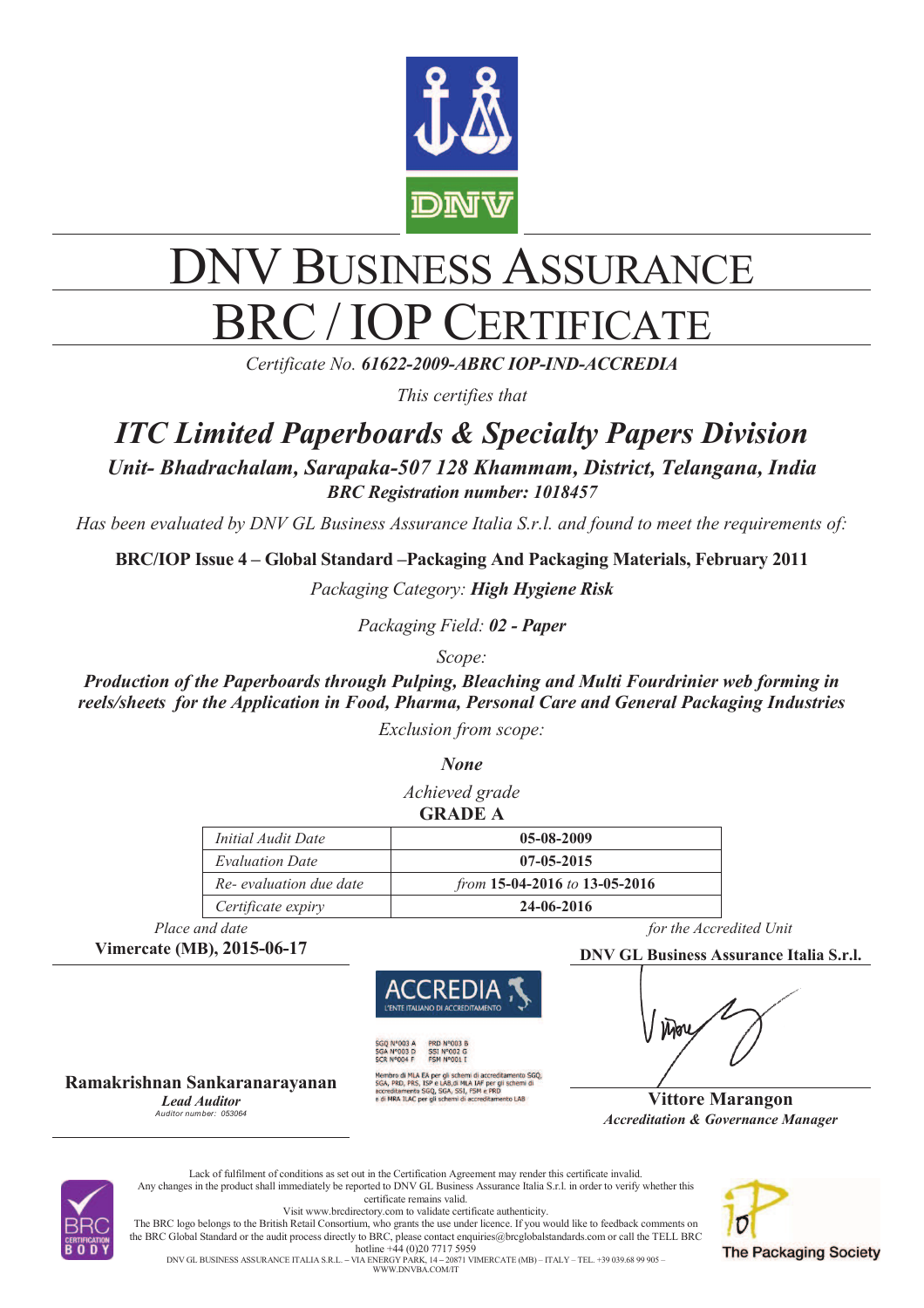

# DNV BUSINESS ASSURANCE C / IOP CERTIFICATE

*Certificate No. 61622-2009-ABRC IOP-IND-ACCREDIA*

*This certifies that* 

# *ITC Limited Paperboards & Specialty Papers Division*

*Unit- Bhadrachalam, Sarapaka-507 128 Khammam, District, Telangana, India BRC Registration number: 1018457*

*Has been evaluated by DNV GL Business Assurance Italia S.r.l. and found to meet the requirements of:* 

**BRC/IOP Issue 4 – Global Standard –Packaging And Packaging Materials, February 2011** 

*Packaging Category: High Hygiene Risk*

*Packaging Field: 02 - Paper*

*Scope:* 

*Production of the Paperboards through Pulping, Bleaching and Multi Fourdrinier web forming in reels/sheets for the Application in Food, Pharma, Personal Care and General Packaging Industries Exclusion from scope:* 

*None*

*Achieved grade* **GRADE A** 

| <i>Initial Audit Date</i> | 05-08-2009                    |
|---------------------------|-------------------------------|
| <b>Evaluation Date</b>    | $07 - 05 - 2015$              |
| Re- evaluation due date   | from 15-04-2016 to 13-05-2016 |
| Certificate expiry        | 24-06-2016                    |



**Ramakrishnan Sankaranarayanan**  *Lead Auditor Auditor number: 053064*

**SSI N°002 G<br>FSM N°001 I** Membro di MLA EA per gli schemi di accreditamento SGQ,<br>SGA, PRD, PRS, ISP e LAB,di MLA IAF per gli schemi di<br>accreditamento SGQ, SGA, SSI, FSM e PRD<br>e di MRA ILAC per gli schemi di accreditamento LAB

*Place and date for the Accredited Unit for the Accredited Unit for the Accredited Unit for the Accredited Unit <i>for the Accredited Unit <b>for* 

**Vimercate (MB), 2015-06-17 DNV GL Business Assurance Italia S.r.l.** 



**Vittore Marangon** *Accreditation & Governance Manager*



Lack of fulfilment of conditions as set out in the Certification Agreement may render this certificate invalid. Any changes in the product shall immediately be reported to DNV GL Business Assurance Italia S.r.l. in order to verify whether this certificate remains valid. Visit www.brcdirectory.com to validate certificate authenticity. The BRC logo belongs to the British Retail Consortium, who grants the use under licence. If you would like to feedback comments on the BRC Global Standard or the audit process directly to BRC, please contact enquiries@brcglobalstandards.com or call the TELL BRC hotline +44 (0)20 7717 5959

**The Packaging Society** 

DNV GL BUSINESS ASSURANCE ITALIA S.R.L. **–** VIA ENERGY PARK, 14 **–** 20871 VIMERCATE (MB) – ITALY – TEL. +39 039.68 99 905 – WWW.DNVBA.COM/IT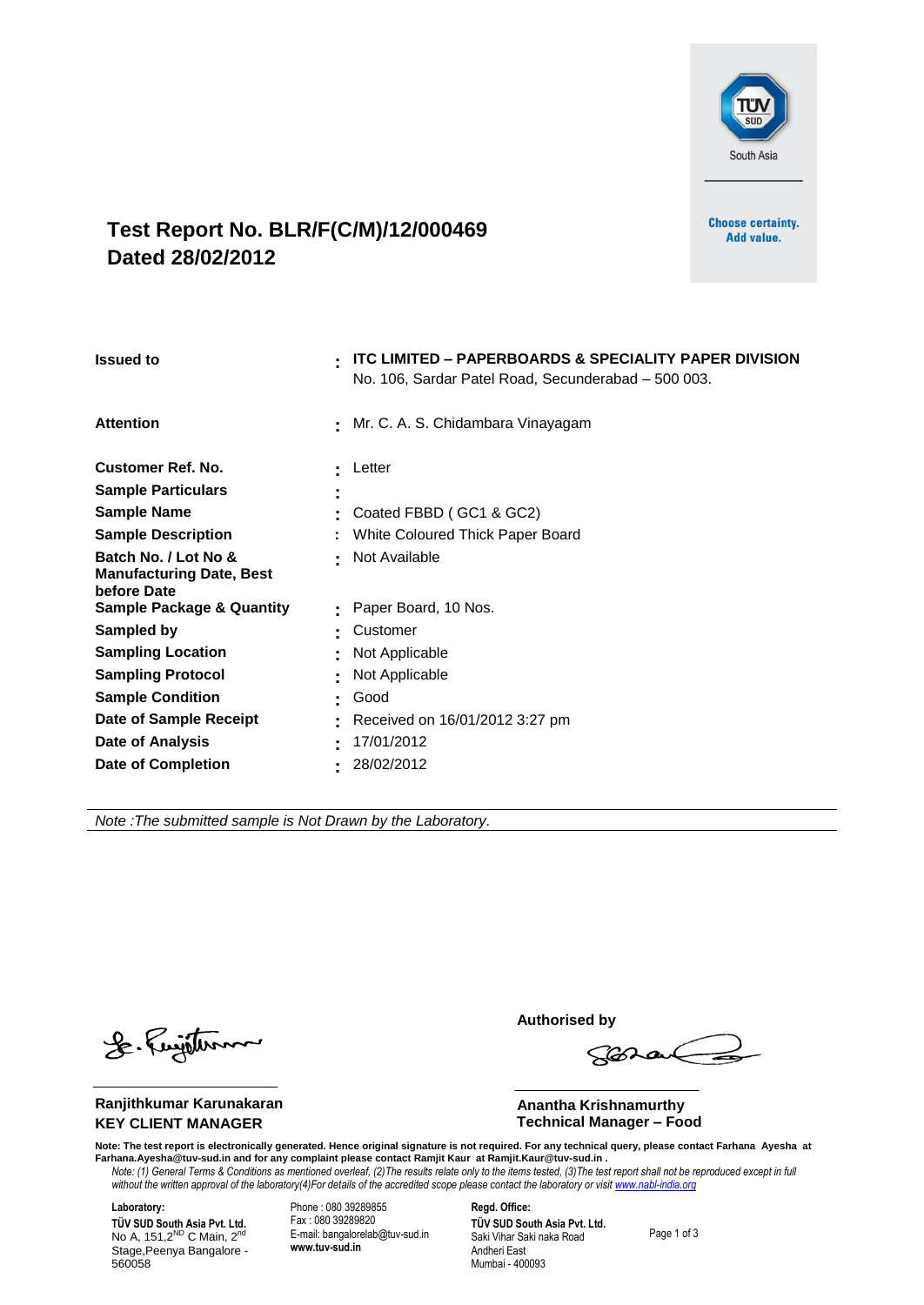

#### **Test Report No. BLR/F(C/M)/12/000469 Dated 28/02/2012**

**Choose certainty.** Add value.

| <b>Issued to</b>                                                                                                                                                                                                           | <b>ITC LIMITED - PAPERBOARDS &amp; SPECIALITY PAPER DIVISION</b><br>٠<br>No. 106, Sardar Patel Road, Secunderabad - 500 003. |
|----------------------------------------------------------------------------------------------------------------------------------------------------------------------------------------------------------------------------|------------------------------------------------------------------------------------------------------------------------------|
| <b>Attention</b>                                                                                                                                                                                                           | Mr. C. A. S. Chidambara Vinayagam<br>$\sim$                                                                                  |
| <b>Customer Ref. No.</b><br><b>Sample Particulars</b><br><b>Sample Name</b><br><b>Sample Description</b><br>Batch No. / Lot No &<br><b>Manufacturing Date, Best</b><br>before Date<br><b>Sample Package &amp; Quantity</b> | Letter<br>Coated FBBD (GC1 & GC2)<br>White Coloured Thick Paper Board<br>Not Available<br>۰.<br>Paper Board, 10 Nos.         |
| Sampled by<br><b>Sampling Location</b><br><b>Sampling Protocol</b><br><b>Sample Condition</b><br>Date of Sample Receipt<br>Date of Analysis<br><b>Date of Completion</b>                                                   | Customer<br>٠<br>Not Applicable<br>Not Applicable<br>Good<br>Received on 16/01/2012 3:27 pm<br>17/01/2012<br>٠<br>28/02/2012 |

*Note :The submitted sample is Not Drawn by the Laboratory.*

J. Fujithm

**Ranjithkumar Karunakaran KEY CLIENT MANAGER**

 **Authorised by**

 $\sqrt{3020}$ 

 **Anantha Krishnamurthy Technical Manager – Food**

*Note: (1) General Terms & Conditions as mentioned overleaf, (2)The results relate only to the items tested, (3)The test report shall not be reproduced except in full*  without the written approval of the laboratory(4)For details of the accredited scope please contact the laboratory or visit www.nabl-india.org Note: The test report is electronically generated. Hence original signature is not required. For any technical query, please contact Farhana Ayesha at<br>Farhana.Ayesha@tuv-sud.in and for any complaint please contact Ramjit

**Laboratory: TÜV SUD South Asia Pvt. Ltd.**<br>No A, 151,2<sup>ND</sup> C Main, 2<sup>nd</sup> Stage,Peenya Bangalore - 560058

Phone : 080 39289855 Fax : 080 39289820 E-mail: bangalorelab@tuv-sud.in **www.tuv-sud.in**

**Regd. Office: TÜV SUD South Asia Pvt. Ltd.** Saki Vihar Saki naka Road Andheri East Mumbai - 400093

Page 1 of 3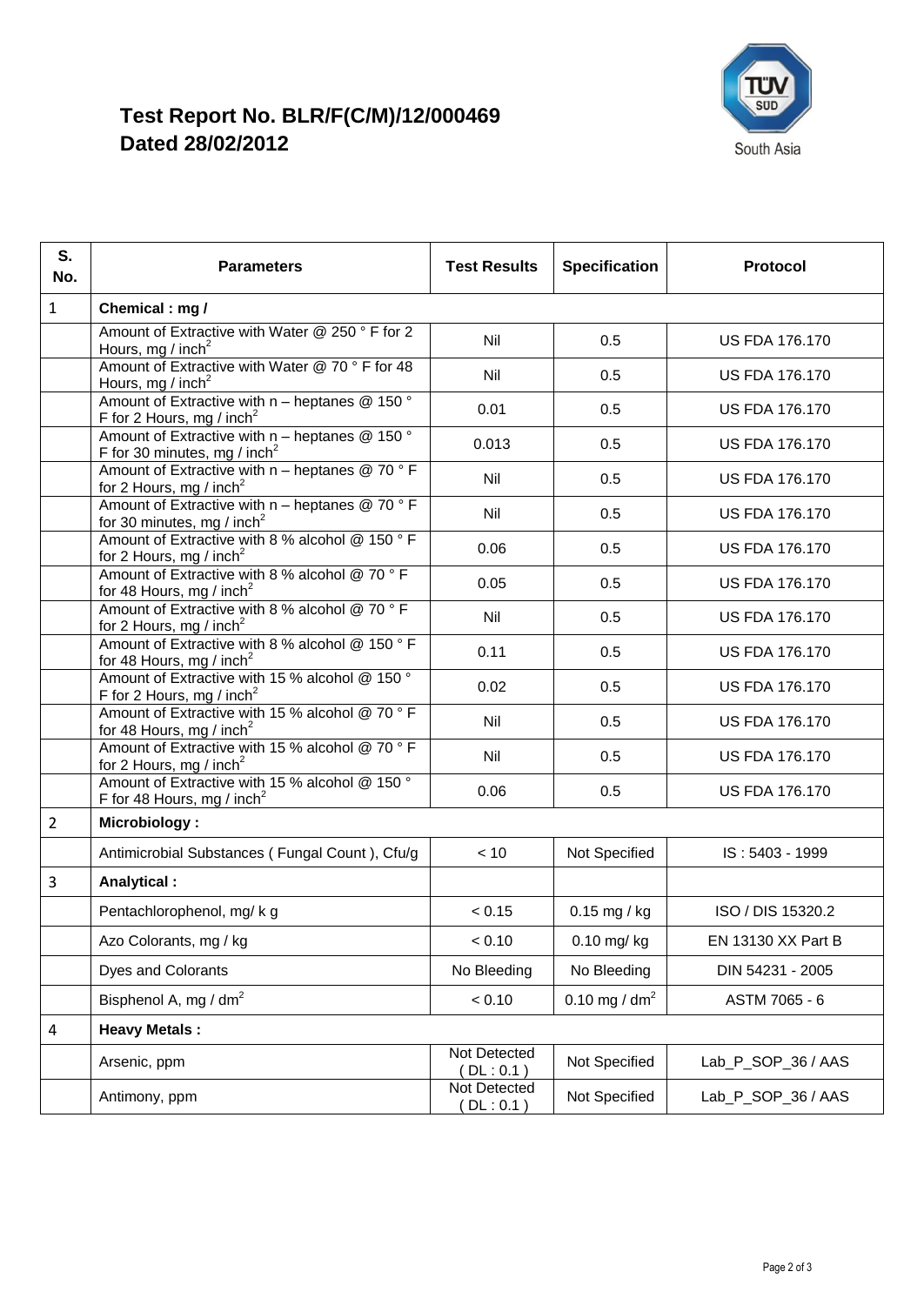

## **Test Report No. BLR/F(C/M)/12/000469 Dated 28/02/2012**

| S.<br>No.      | <b>Parameters</b>                                                                                    | <b>Test Results</b>       | <b>Specification</b> | Protocol              |  |  |
|----------------|------------------------------------------------------------------------------------------------------|---------------------------|----------------------|-----------------------|--|--|
| $\mathbf{1}$   | Chemical: mg /                                                                                       |                           |                      |                       |  |  |
|                | Amount of Extractive with Water @ 250 ° F for 2<br>Hours, mg / inch <sup>2</sup>                     | Nil                       | 0.5                  | <b>US FDA 176.170</b> |  |  |
|                | Amount of Extractive with Water @ 70 ° F for 48<br>Hours, mg / inch <sup>2</sup>                     | Nil                       | 0.5                  | <b>US FDA 176.170</b> |  |  |
|                | Amount of Extractive with $n$ – heptanes @ 150 $\degree$<br>F for 2 Hours, mg / inch <sup>2</sup>    | 0.01                      | 0.5                  | <b>US FDA 176.170</b> |  |  |
|                | Amount of Extractive with $n$ – heptanes @ 150 $\degree$<br>F for 30 minutes, mg / inch <sup>2</sup> | 0.013                     | 0.5                  | <b>US FDA 176.170</b> |  |  |
|                | Amount of Extractive with $n -$ heptanes @ 70 ° F<br>for 2 Hours, mg / inch <sup>2</sup>             | Nil                       | 0.5                  | <b>US FDA 176.170</b> |  |  |
|                | Amount of Extractive with $n -$ heptanes @ 70 ° F<br>for 30 minutes, mg / inch <sup>2</sup>          | Nil                       | 0.5                  | <b>US FDA 176.170</b> |  |  |
|                | Amount of Extractive with 8 % alcohol @ 150 ° F<br>for 2 Hours, mg / inch <sup>2</sup>               | 0.06                      | 0.5                  | <b>US FDA 176.170</b> |  |  |
|                | Amount of Extractive with 8 % alcohol @ 70 ° F<br>for 48 Hours, mg / inch <sup>2</sup>               | 0.05                      | 0.5                  | <b>US FDA 176.170</b> |  |  |
|                | Amount of Extractive with 8 % alcohol @ 70 ° F<br>for 2 Hours, mg / inch <sup>2</sup>                | Nil                       | 0.5                  | <b>US FDA 176.170</b> |  |  |
|                | Amount of Extractive with 8 % alcohol @ 150 °F<br>for 48 Hours, mg / inch <sup>2</sup>               | 0.11                      | 0.5                  | <b>US FDA 176.170</b> |  |  |
|                | Amount of Extractive with 15 % alcohol @ 150 °<br>F for 2 Hours, mg / inch <sup>2</sup>              | 0.02                      | 0.5                  | <b>US FDA 176.170</b> |  |  |
|                | Amount of Extractive with 15 % alcohol @ 70 °F<br>for 48 Hours, mg / inch <sup>2</sup>               | Nil                       | 0.5                  | <b>US FDA 176.170</b> |  |  |
|                | Amount of Extractive with 15 % alcohol @ 70 °F<br>for 2 Hours, mg / inch <sup>2</sup>                | Nil                       | 0.5                  | <b>US FDA 176.170</b> |  |  |
|                | Amount of Extractive with 15 % alcohol @ 150 °<br>F for 48 Hours, mg / inch <sup>2</sup>             | 0.06                      | 0.5                  | <b>US FDA 176.170</b> |  |  |
| $\overline{2}$ | <b>Microbiology:</b>                                                                                 |                           |                      |                       |  |  |
|                | Antimicrobial Substances (Fungal Count), Cfu/g                                                       | < 10                      | Not Specified        | IS: 5403 - 1999       |  |  |
| 3              | Analytical:                                                                                          |                           |                      |                       |  |  |
|                | Pentachlorophenol, mg/kg                                                                             | < 0.15                    | $0.15$ mg / kg       | ISO / DIS 15320.2     |  |  |
|                | Azo Colorants, mg / kg                                                                               | < 0.10                    | 0.10 mg/ kg          | EN 13130 XX Part B    |  |  |
|                | Dyes and Colorants                                                                                   | No Bleeding               | No Bleeding          | DIN 54231 - 2005      |  |  |
|                | Bisphenol A, mg / dm <sup>2</sup>                                                                    | < 0.10                    | 0.10 mg / $dm2$      | ASTM 7065 - 6         |  |  |
| 4              | <b>Heavy Metals:</b>                                                                                 |                           |                      |                       |  |  |
|                | Arsenic, ppm                                                                                         | Not Detected<br>DL:0.1    | Not Specified        | Lab_P_SOP_36 / AAS    |  |  |
|                | Antimony, ppm                                                                                        | Not Detected<br>(DL: 0.1) | Not Specified        | Lab_P_SOP_36 / AAS    |  |  |